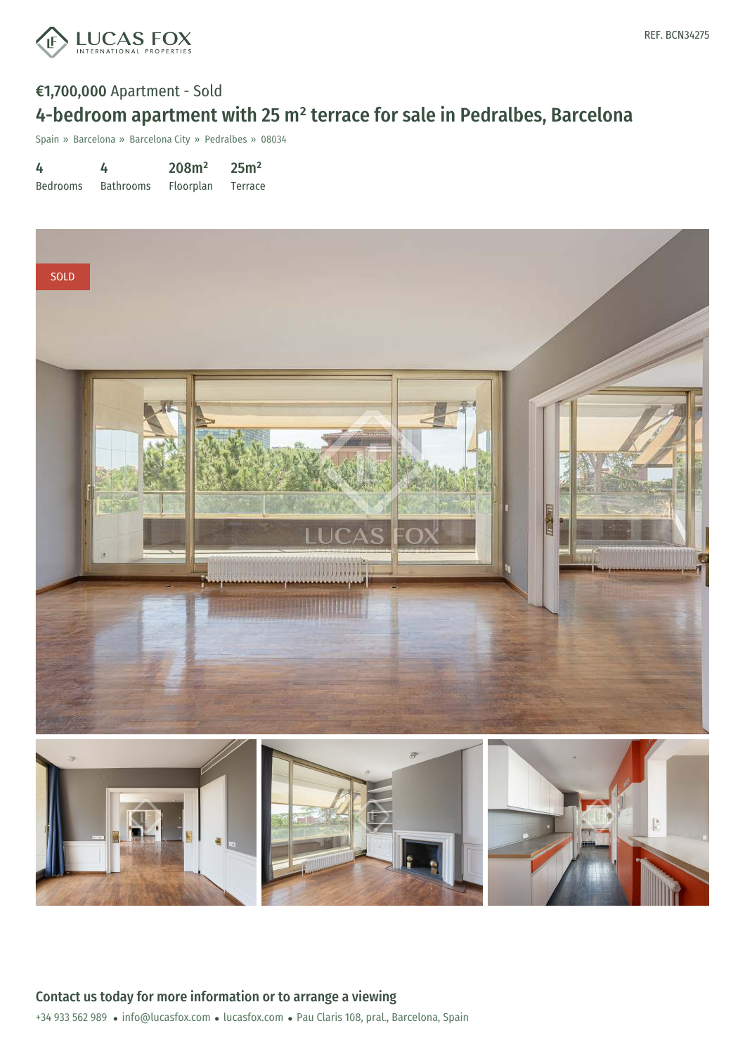

### €1,700,000 Apartment - Sold 4-bedroom apartment with 25 m² terrace for sale in Pedralbes, Barcelona

Spain » Barcelona » Barcelona City » Pedralbes » 08034

| 4               | 4                | 208m <sup>2</sup> | 25m <sup>2</sup> |
|-----------------|------------------|-------------------|------------------|
| <b>Bedrooms</b> | <b>Bathrooms</b> | Floorplan         | Terrace          |

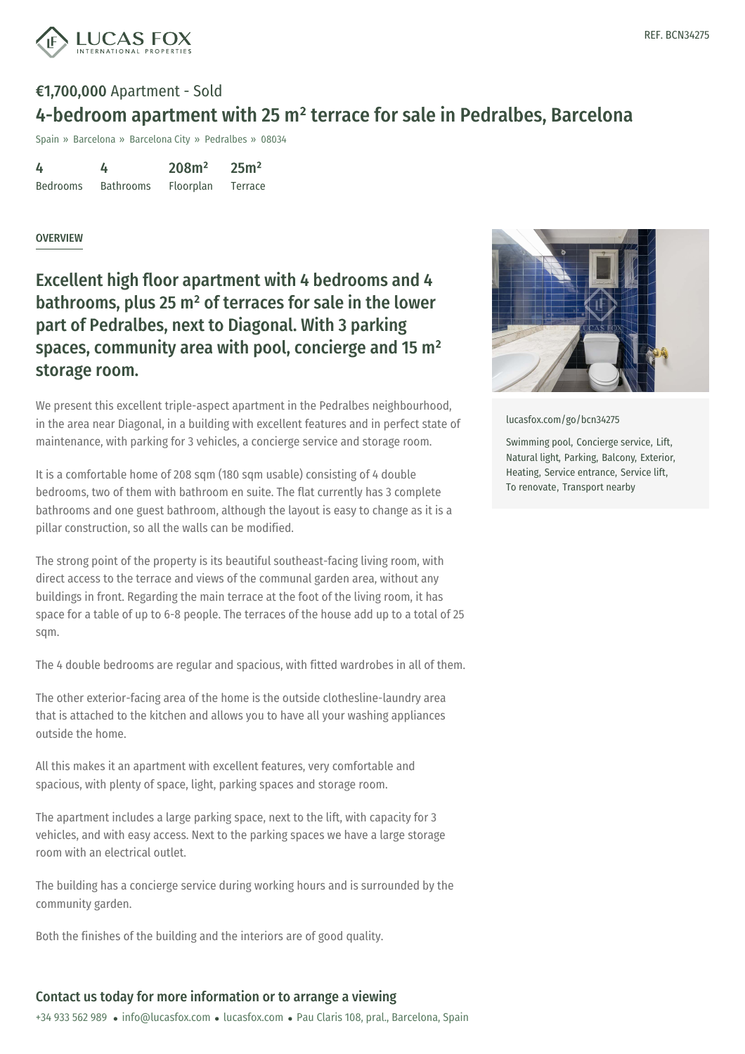

# €1,700,000 Apartment - Sold 4-bedroom apartment with 25 m² terrace for sale in Pedralbes, Barcelona

Spain » Barcelona » Barcelona City » Pedralbes » 08034

| 4               | 4                | 208m <sup>2</sup> | 25m <sup>2</sup> |
|-----------------|------------------|-------------------|------------------|
| <b>Bedrooms</b> | <b>Bathrooms</b> | Floorplan         | Terrace          |

#### **OVERVIEW**

Excellent high floor apartment with 4 bedrooms and 4 bathrooms, plus 25 m² of terraces for sale in the lower part of Pedralbes, next to Diagonal. With 3 parking spaces, community area with pool, concierge and 15 m² storage room.

We present this excellent triple-aspect apartment in the Pedralbes neighbourhood, in the area near Diagonal, in a building with excellent features and in perfect state of maintenance, with parking for 3 vehicles, a concierge service and storage room.

It is a comfortable home of 208 sqm (180 sqm usable) consisting of 4 double bedrooms, two of them with bathroom en suite. The flat currently has 3 complete bathrooms and one guest bathroom, although the layout is easy to change as it is a pillar construction, so all the walls can be modified.

The strong point of the property is its beautiful southeast-facing living room, with direct access to the terrace and views of the communal garden area, without any buildings in front. Regarding the main terrace at the foot of the living room, it has space for a table of up to 6-8 people. The terraces of the house add up to a total of 25 sqm.

The 4 double bedrooms are regular and spacious, with fitted wardrobes in all of them.

The other exterior-facing area of the home is the outside clothesline-laundry area that is attached to the kitchen and allows you to have all your washing appliances outside the home.

All this makes it an apartment with excellent features, very comfortable and spacious, with plenty of [space,](mailto:info@lucasfox.com) light, [parking](https://www.lucasfox.com) spaces and storage room.

The apartment includes a large parking space, next to the lift, with capacity for 3 vehicles, and with easy access. Next to the parking spaces we have a large storage room with an electrical outlet.

The building has a concierge service during working hours and is surrounded by the community garden.

Both the finishes of the building and the interiors are of good quality.

### Contact us today for more information or to arrange a viewing

+34 933 562 989 · info@lucasfox.com · lucasfox.com · Pau Claris 108, pral., Barcelona, Spain



[lucasfox.com/go/bcn34275](https://www.lucasfox.com/go/bcn34275)

Swimming pool, Concierge service, Lift, Natural light, Parking, Balcony, Exterior, Heating, Service entrance, Service lift, To renovate, Transport nearby